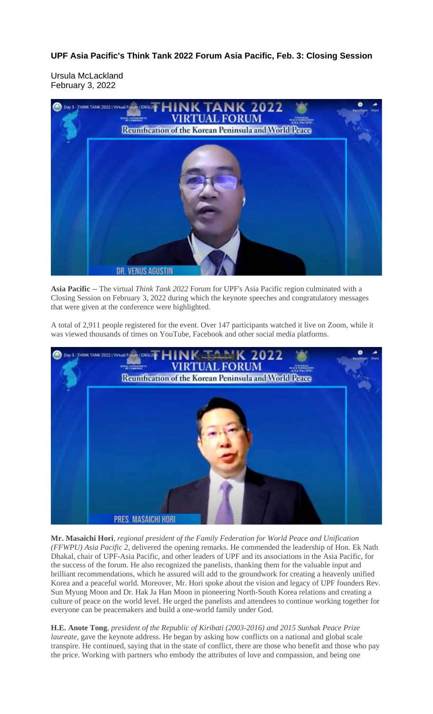**UPF Asia Pacific's Think Tank 2022 Forum Asia Pacific, Feb. 3: Closing Session**

Ursula McLackland February 3, 2022



**Asia Pacific** -- The virtual *Think Tank 2022* Forum for UPF's Asia Pacific region culminated with a Closing Session on February 3, 2022 during which the keynote speeches and congratulatory messages that were given at the conference were highlighted.

A total of 2,911 people registered for the event. Over 147 participants watched it live on Zoom, while it was viewed thousands of times on YouTube, Facebook and other social media platforms.



**Mr. Masaichi Hori**, *regional president of the Family Federation for World Peace and Unification (FFWPU) Asia Pacific 2*, delivered the opening remarks. He commended the leadership of Hon. Ek Nath Dhakal, chair of UPF-Asia Pacific, and other leaders of UPF and its associations in the Asia Pacific, for the success of the forum. He also recognized the panelists, thanking them for the valuable input and brilliant recommendations, which he assured will add to the groundwork for creating a heavenly unified Korea and a peaceful world. Moreover, Mr. Hori spoke about the vision and legacy of UPF founders Rev. Sun Myung Moon and Dr. Hak Ja Han Moon in pioneering North-South Korea relations and creating a culture of peace on the world level. He urged the panelists and attendees to continue working together for everyone can be peacemakers and build a one-world family under God.

**H.E. Anote Tong**, *president of the Republic of Kiribati (2003-2016) and 2015 Sunhak Peace Prize laureate*, gave the keynote address. He began by asking how conflicts on a national and global scale transpire. He continued, saying that in the state of conflict, there are those who benefit and those who pay the price. Working with partners who embody the attributes of love and compassion, and being one